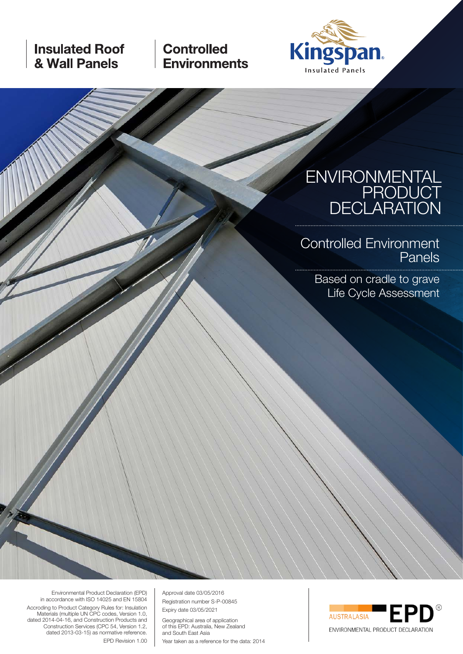# **Insulated Roof** & Wall Panels

**Controlled Environments** 



# ENVIRONMENTAL PRODUCT DECLARATION

Controlled Environment Panels

Based on cradle to grave Life Cycle Assessment

Environmental Product Declaration (EPD) in accordance with ISO 14025 and EN 15804 Accroding to Product Category Rules for: Insulation Materials (multiple UN CPC codes, Version 1.0, dated 2014-04-16, and Construction Products and Construction Services (CPC 54, Version 1.2, dated 2013-03-15) as normative reference. EPD Revision 1.00

Approval date 03/05/2016 Registration number S-P-00845 Expiry date 03/05/2021

Geographical area of application of this EPD: Australia, New Zealand and South East Asia

Year taken as a reference for the data: 2014

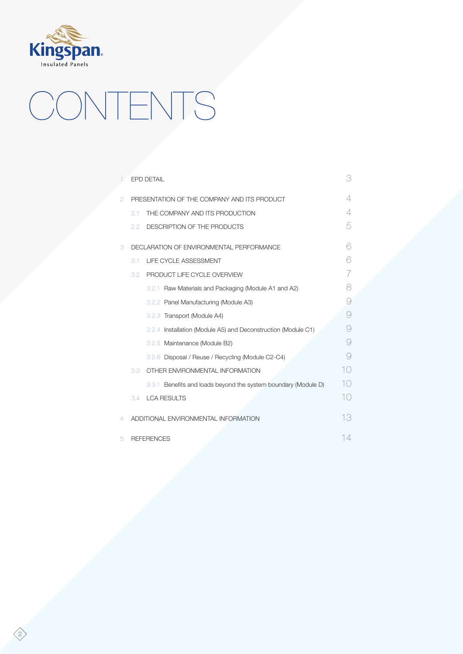

# CONTENTS

|   |                  | <b>EPD DETAIL</b>                                              | 3                    |
|---|------------------|----------------------------------------------------------------|----------------------|
| 2 |                  | PRESENTATION OF THE COMPANY AND ITS PRODUCT                    | 4                    |
|   | 2.1              | THE COMPANY AND ITS PRODUCTION                                 | 4                    |
|   | 2.2              | DESCRIPTION OF THE PRODUCTS                                    | 5                    |
| 3 |                  | DECLARATION OF ENVIRONMENTAL PERFORMANCE                       | R                    |
|   | 3.1              | LIFE CYCLE ASSESSMENT                                          | 6                    |
|   | 3.2 <sub>1</sub> | PRODUCT LIFE CYCLE OVERVIEW                                    |                      |
|   |                  | 3.2.1 Raw Materials and Packaging (Module A1 and A2)           | 8                    |
|   |                  | 3.2.2 Panel Manufacturing (Module A3)                          | 9                    |
|   |                  | 3.2.3 Transport (Module A4)                                    | 9                    |
|   |                  | 3.2.4 Installation (Module A5) and Deconstruction (Module C1)  | g                    |
|   |                  | 3.2.5 Maintenance (Module B2)                                  | g                    |
|   |                  | 3.2.6 Disposal / Reuse / Recycling (Module C2-C4)              | 9                    |
|   | 3.3              | OTHER ENVIRONMENTAL INFORMATION                                | 10                   |
|   |                  | 3.3.1 Benefits and loads beyond the system boundary (Module D) | $\mathcal{L}(\cdot)$ |
|   | 3.4              | <b>LCA RESULTS</b>                                             | 10                   |
| 4 |                  | ADDITIONAL ENVIRONMENTAL INFORMATION                           | 13                   |
| 5 |                  | <b>REFERENCES</b>                                              | 14                   |

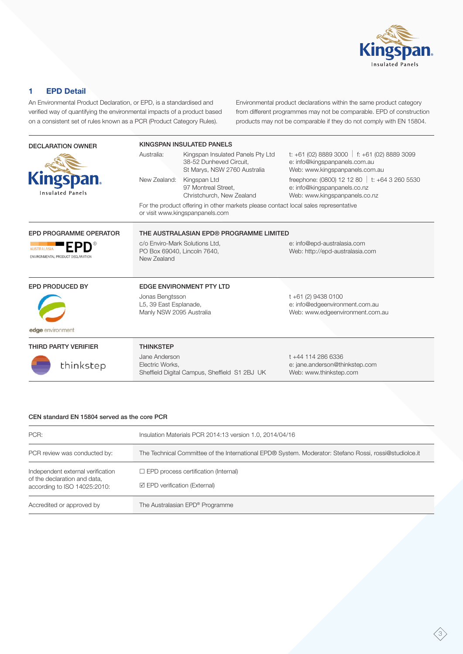

# **1 EPD Detail**

An Environmental Product Declaration, or EPD, is a standardised and verified way of quantifying the environmental impacts of a product based on a consistent set of rules known as a PCR (Product Category Rules).

Environmental product declarations within the same product category from different programmes may not be comparable. EPD of construction products may not be comparable if they do not comply with EN 15804.

| <b>DECLARATION OWNER</b>                            | KINGSPAN INSULATED PANELS                                                                                              |                                                                                              |                                                                                                                  |  |  |  |  |  |
|-----------------------------------------------------|------------------------------------------------------------------------------------------------------------------------|----------------------------------------------------------------------------------------------|------------------------------------------------------------------------------------------------------------------|--|--|--|--|--|
|                                                     | Australia:                                                                                                             | Kingspan Insulated Panels Pty Ltd<br>38-52 Dunheved Circuit,<br>St Marys, NSW 2760 Australia | t: +61 (02) 8889 3000   f: +61 (02) 8889 3099<br>e: info@kingspanpanels.com.au<br>Web: www.kingspanpanels.com.au |  |  |  |  |  |
| <b>Kingspan.</b><br><b>Insulated Panels</b>         | New Zealand:                                                                                                           | Kingspan Ltd<br>97 Montreal Street.<br>Christchurch, New Zealand                             | freephone: (0800) 12 12 80   t: +64 3 260 5530<br>e: info@kingspanpanels.co.nz<br>Web: www.kingspanpanels.co.nz  |  |  |  |  |  |
|                                                     | For the product offering in other markets please contact local sales representative<br>or visit www.kingspanpanels.com |                                                                                              |                                                                                                                  |  |  |  |  |  |
| <b>EPD PROGRAMME OPERATOR</b>                       |                                                                                                                        | THE AUSTRALASIAN EPD® PROGRAMME LIMITED                                                      |                                                                                                                  |  |  |  |  |  |
| <b>AUSTRALASIA</b><br>ENVIRONMENTAL PRODUCT DECLARA | c/o Enviro-Mark Solutions Ltd,<br>PO Box 69040, Lincoln 7640,<br>New Zealand                                           |                                                                                              | e: info@epd-australasia.com<br>Web: http://epd-australasia.com                                                   |  |  |  |  |  |
| EPD PRODUCED BY                                     |                                                                                                                        | <b>EDGE ENVIRONMENT PTY LTD</b>                                                              |                                                                                                                  |  |  |  |  |  |
|                                                     | Jonas Bengtsson<br>L5, 39 East Esplanade,<br>Manly NSW 2095 Australia                                                  |                                                                                              | t +61 (2) 9438 0100<br>e: info@edgeenvironment.com.au<br>Web: www.edgeenvironment.com.au                         |  |  |  |  |  |
| edge environment                                    |                                                                                                                        |                                                                                              |                                                                                                                  |  |  |  |  |  |
| <b>THIRD PARTY VERIFIER</b>                         | <b>THINKSTEP</b>                                                                                                       |                                                                                              |                                                                                                                  |  |  |  |  |  |
| thinkstep                                           | Jane Anderson<br>Electric Works,                                                                                       | Sheffield Digital Campus, Sheffield S1 2BJ UK                                                | t +44 114 286 6336<br>e: jane.anderson@thinkstep.com<br>Web: www.thinkstep.com                                   |  |  |  |  |  |

# CEN standard EN 15804 served as the core PCR

| PCR:                                                                                              | Insulation Materials PCR 2014:13 version 1.0, 2014/04/16                                               |
|---------------------------------------------------------------------------------------------------|--------------------------------------------------------------------------------------------------------|
| PCR review was conducted by:                                                                      | The Technical Committee of the International EPD® System. Moderator: Stefano Rossi, rossi@studiolce.it |
| Independent external verification<br>of the declaration and data,<br>according to ISO 14025:2010: | $\Box$ EPD process certification (Internal)<br>$\boxtimes$ EPD verification (External)                 |
| Accredited or approved by                                                                         | The Australasian EPD® Programme                                                                        |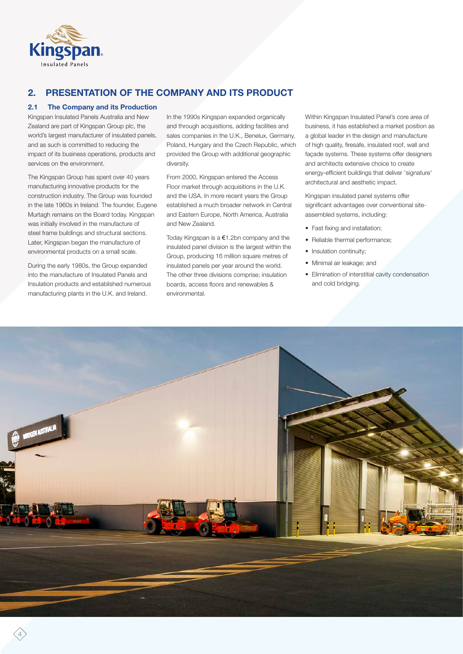

# **2. PRESENTATION OF THE COMPANY AND ITS PRODUCT**

# **2.1 The Company and its Production**

Kingspan Insulated Panels Australia and New Zealand are part of Kingspan Group plc, the world's largest manufacturer of insulated panels, and as such is committed to reducing the impact of its business operations, products and services on the environment.

The Kingspan Group has spent over 40 years manufacturing innovative products for the construction industry. The Group was founded in the late 1960s in Ireland. The founder, Eugene Murtagh remains on the Board today. Kingspan was initially involved in the manufacture of steel frame buildings and structural sections. Later, Kingspan began the manufacture of environmental products on a small scale.

During the early 1980s, the Group expanded into the manufacture of Insulated Panels and Insulation products and established numerous manufacturing plants in the U.K. and Ireland.

In the 1990s Kingspan expanded organically and through acquisitions, adding facilities and sales companies in the U.K., Benelux, Germany, Poland, Hungary and the Czech Republic, which provided the Group with additional geographic diversity.

From 2000, Kingspan entered the Access Floor market through acquisitions in the U.K. and the USA. In more recent years the Group established a much broader network in Central and Eastern Europe, North America, Australia and New Zealand.

Today Kingspan is a €1.2bn company and the insulated panel division is the largest within the Group, producing 16 million square metres of insulated panels per year around the world. The other three divisions comprise; insulation boards, access floors and renewables & environmental.

Within Kingspan Insulated Panel's core area of business, it has established a market position as a global leader in the design and manufacture of high quality, firesafe, insulated roof, wall and façade systems. These systems offer designers and architects extensive choice to create energy-efficient buildings that deliver 'signature' architectural and aesthetic impact.

Kingspan insulated panel systems offer significant advantages over conventional siteassembled systems, including:

- Fast fixing and installation;
- Reliable thermal performance;
- Insulation continuity;
- Minimal air leakage; and
- Elimination of interstitial cavity condensation and cold bridging.

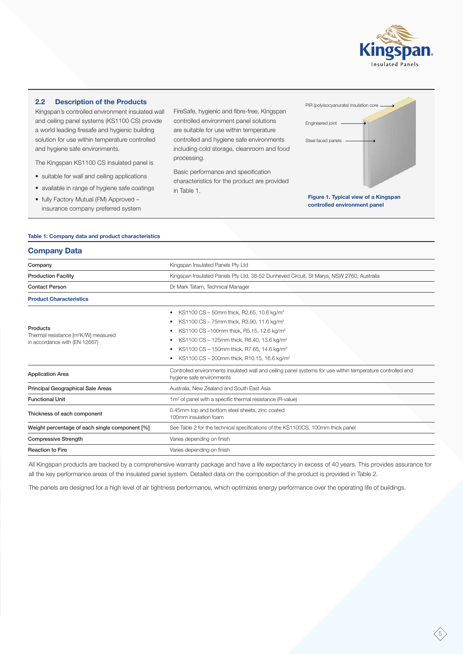

# **2.2 Description of the Products**

Kingspan's controlled environment insulated wall and ceiling panel systems (KS1100 CS) provide a world leading firesafe and hygienic building solution for use within temperature controlled and hygiene safe environments.

The Kingspan KS1100 CS insulated panel is

- suitable for wall and ceiling applications
- available in range of hygiene safe coatings
- fully Factory Mutual (FM) Approved insurance company preferred system

FireSafe, hygienic and fibre-free, Kingspan controlled environment panel solutions are suitable for use within temperature controlled and hygiene safe environments including cold storage, cleanroom and food processing.

Basic performance and specification characteristics for the product are provided in Table 1.



# **Table 1: Company data and product characteristics**

# **Company Data**

| Company                                                                                       | Kingspan Insulated Panels Pty Ltd                                                                                                                                                                                                                                                                                                                                  |
|-----------------------------------------------------------------------------------------------|--------------------------------------------------------------------------------------------------------------------------------------------------------------------------------------------------------------------------------------------------------------------------------------------------------------------------------------------------------------------|
| <b>Production Facility</b>                                                                    | Kingspan Insulated Panels Pty Ltd, 38-52 Dunheved Circuit, St Marys, NSW 2760, Australia                                                                                                                                                                                                                                                                           |
| <b>Contact Person</b>                                                                         | Dr Mark Tatam, Technical Manager                                                                                                                                                                                                                                                                                                                                   |
| <b>Product Characteristics</b>                                                                |                                                                                                                                                                                                                                                                                                                                                                    |
| Products<br>Thermal resistance [m <sup>2</sup> K/W] measured<br>in accordance with (EN 12667) | KS1100 CS - 50mm thick, R2.65, 10.6 kg/m <sup>2</sup><br>$\bullet$<br>KS1100 CS - 75mm thick, R3.90, 11.6 kg/m <sup>2</sup><br>KS1100 CS-100mm thick, R5.15, 12.6 kg/m <sup>2</sup><br>KS1100 CS - 125mm thick, R6.40, 13.6 kg/m <sup>2</sup><br>KS1100 CS - 150mm thick, R7.65, 14.6 kg/m <sup>2</sup><br>KS1100 CS - 200mm thick, R10.15, 16.6 kg/m <sup>2</sup> |
| <b>Application Area</b>                                                                       | Controlled environments insulated wall and ceiling panel systems for use within temperature controlled and<br>hygiene safe environments                                                                                                                                                                                                                            |
| Principal Geographical Sale Areas                                                             | Australia, New Zealand and South East Asia                                                                                                                                                                                                                                                                                                                         |
| <b>Functional Unit</b>                                                                        | 1m <sup>2</sup> of panel with a specific thermal resistance (R-value)                                                                                                                                                                                                                                                                                              |
| Thickness of each component                                                                   | 0.45mm top and bottom steel sheets, zinc coated<br>100mm insulation foam                                                                                                                                                                                                                                                                                           |
| Weight percentage of each single component [%]                                                | See Table 2 for the technical specifications of the KS1100CS, 100mm thick panel                                                                                                                                                                                                                                                                                    |
| <b>Compressive Strength</b>                                                                   | Varies depending on finish                                                                                                                                                                                                                                                                                                                                         |
| <b>Reaction to Fire</b>                                                                       | Varies depending on finish                                                                                                                                                                                                                                                                                                                                         |

All Kingspan products are backed by a comprehensive warranty package and have a life expectancy in excess of 40 years. This provides assurance for all the key performance areas of the insulated panel system. Detailed data on the composition of the product is provided in Table 2.

The panels are designed for a high level of air tightness performance, which optimizes energy performance over the operating life of buildings.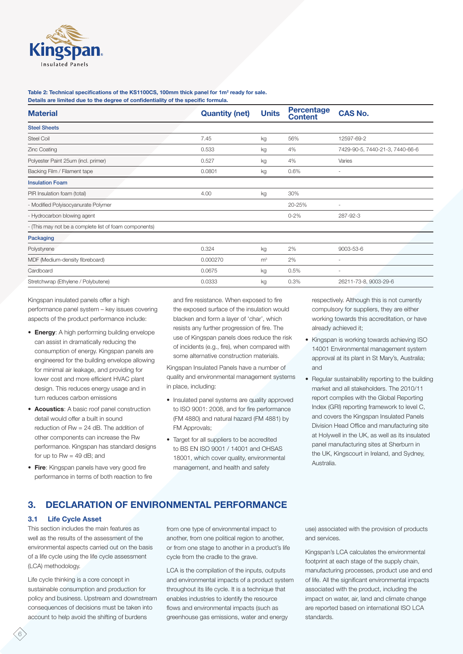

#### Table 2: Technical specifications of the KS1100CS, 100mm thick panel for 1m<sup>2</sup> ready for sale. **Details are limited due to the degree of confidentiality of the specific formula.**

| <b>Material</b>                                        | <b>Quantity (net)</b><br><b>Units</b> |                | <b>Percentage</b><br><b>Content</b> | <b>CAS No.</b>                  |
|--------------------------------------------------------|---------------------------------------|----------------|-------------------------------------|---------------------------------|
| <b>Steel Sheets</b>                                    |                                       |                |                                     |                                 |
| <b>Steel Coil</b>                                      | 7.45                                  | kg             | 56%                                 | 12597-69-2                      |
| Zinc Coating                                           | 0.533                                 | kg             | 4%                                  | 7429-90-5, 7440-21-3, 7440-66-6 |
| Polyester Paint 25um (incl. primer)                    | 0.527                                 | kg             | 4%                                  | Varies                          |
| Backing Film / Filament tape                           | 0.0801                                | kg             | 0.6%                                | $\overline{\phantom{a}}$        |
| <b>Insulation Foam</b>                                 |                                       |                |                                     |                                 |
| PIR Insulation foam (total)                            | 4.00                                  | kg             | 30%                                 |                                 |
| - Modified Polyisocyanurate Polymer                    |                                       |                | 20-25%                              | $\sim$                          |
| - Hydrocarbon blowing agent                            |                                       |                | $0 - 2%$                            | 287-92-3                        |
| - (This may not be a complete list of foam components) |                                       |                |                                     |                                 |
| Packaging                                              |                                       |                |                                     |                                 |
| Polystyrene                                            | 0.324                                 | kg             | 2%                                  | 9003-53-6                       |
| MDF (Medium-density fibreboard)                        | 0.000270                              | m <sup>3</sup> | 2%                                  | $\overline{\phantom{a}}$        |
| Cardboard                                              | 0.0675                                | kg             | 0.5%                                |                                 |
| Stretchwrap (Ethylene / Polybutene)                    | 0.0333                                | kg             | 0.3%                                | 26211-73-8, 9003-29-6           |

Kingspan insulated panels offer a high performance panel system – key issues covering aspects of the product performance include:

- **Energy**: A high performing building envelope can assist in dramatically reducing the consumption of energy. Kingspan panels are engineered for the building envelope allowing for minimal air leakage, and providing for lower cost and more efficient HVAC plant design. This reduces energy usage and in turn reduces carbon emissions
- **Acoustics**: A basic roof panel construction detail would offer a built in sound reduction of Rw = 24 dB. The addition of other components can increase the Rw performance. Kingspan has standard designs for up to  $Rw = 49$  dB; and
- **Fire**: Kingspan panels have very good fire performance in terms of both reaction to fire

and fire resistance. When exposed to fire the exposed surface of the insulation would blacken and form a layer of 'char', which resists any further progression of fire. The use of Kingspan panels does reduce the risk of incidents (e.g., fire), when compared with some alternative construction materials.

Kingspan Insulated Panels have a number of quality and environmental management systems in place, including:

- Insulated panel systems are quality approved to ISO 9001: 2008, and for fire performance (FM 4880) and natural hazard (FM 4881) by FM Approvals;
- Target for all suppliers to be accredited to BS EN ISO 9001 / 14001 and OHSAS 18001, which cover quality, environmental management, and health and safety

respectively. Although this is not currently compulsory for suppliers, they are either working towards this accreditation, or have already achieved it;

- Kingspan is working towards achieving ISO 14001 Environmental management system approval at its plant in St Mary's, Australia; and
- Regular sustainability reporting to the building market and all stakeholders. The 2010/11 report complies with the Global Reporting Index (GRI) reporting framework to level C, and covers the Kingspan Insulated Panels Division Head Office and manufacturing site at Holywell in the UK, as well as its insulated panel manufacturing sites at Sherburn in the UK, Kingscourt in Ireland, and Sydney, Australia.

# **3. DECLARATION OF ENVIRONMENTAL PERFORMANCE**

# **3.1 Life Cycle Asset**

This section includes the main features as well as the results of the assessment of the environmental aspects carried out on the basis of a life cycle using the life cycle assessment (LCA) methodology.

Life cycle thinking is a core concept in sustainable consumption and production for policy and business. Upstream and downstream consequences of decisions must be taken into account to help avoid the shifting of burdens

from one type of environmental impact to another, from one political region to another, or from one stage to another in a product's life cycle from the cradle to the grave.

LCA is the compilation of the inputs, outputs and environmental impacts of a product system throughout its life cycle. It is a technique that enables industries to identify the resource flows and environmental impacts (such as greenhouse gas emissions, water and energy

use) associated with the provision of products and services.

Kingspan's LCA calculates the environmental footprint at each stage of the supply chain, manufacturing processes, product use and end of life. All the significant environmental impacts associated with the product, including the impact on water, air, land and climate change are reported based on international ISO LCA standards.

6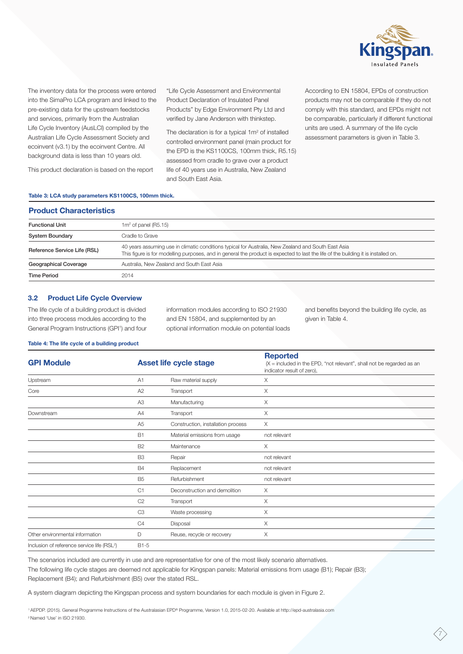

The inventory data for the process were entered into the SimaPro LCA program and linked to the pre-existing data for the upstream feedstocks and services, primarily from the Australian Life Cycle Inventory (AusLCI) compiled by the Australian Life Cycle Assessment Society and ecoinvent (v3.1) by the ecoinvent Centre. All background data is less than 10 years old.

This product declaration is based on the report

"Life Cycle Assessment and Environmental Product Declaration of Insulated Panel Products" by Edge Environment Pty Ltd and verified by Jane Anderson with thinkstep.

The declaration is for a typical  $1m^2$  of installed controlled environment panel (main product for the EPD is the KS1100CS, 100mm thick, R5.15) assessed from cradle to grave over a product life of 40 years use in Australia, New Zealand and South East Asia.

According to EN 15804, EPDs of construction products may not be comparable if they do not comply with this standard, and EPDs might not be comparable, particularly if different functional units are used. A summary of the life cycle assessment parameters is given in Table 3.

#### **Table 3: LCA study parameters KS1100CS, 100mm thick.**

| <b>Product Characteristics</b> |                                                                                                                                                                                                                                           |
|--------------------------------|-------------------------------------------------------------------------------------------------------------------------------------------------------------------------------------------------------------------------------------------|
| <b>Functional Unit</b>         | $1m2$ of panel (R5.15)                                                                                                                                                                                                                    |
| <b>System Boundary</b>         | Cradle to Grave                                                                                                                                                                                                                           |
| Reference Service Life (RSL)   | 40 years assuming use in climatic conditions typical for Australia, New Zealand and South East Asia<br>This figure is for modelling purposes, and in general the product is expected to last the life of the building it is installed on. |
| Geographical Coverage          | Australia. New Zealand and South East Asia                                                                                                                                                                                                |
| <b>Time Period</b>             | 2014                                                                                                                                                                                                                                      |

#### **3.2 Product Life Cycle Overview**

The life cycle of a building product is divided into three process modules according to the General Program Instructions (GPI<sup>1</sup>) and four information modules according to ISO 21930 and EN 15804, and supplemented by an optional information module on potential loads and benefits beyond the building life cycle, as given in Table 4.

7

#### **Table 4: The life cycle of a building product**

| <b>GPI Module</b>                                       |                | <b>Asset life cycle stage</b>      | <b>Reported</b><br>$(X = \text{included in the EPD}, \text{ "not relevant", shall not be regarded as an})$<br>indicator result of zero), |  |  |  |  |
|---------------------------------------------------------|----------------|------------------------------------|------------------------------------------------------------------------------------------------------------------------------------------|--|--|--|--|
| Upstream                                                | A1             | Raw material supply                | Χ                                                                                                                                        |  |  |  |  |
| Core                                                    | A2             | Transport                          | $\times$                                                                                                                                 |  |  |  |  |
|                                                         | A <sub>3</sub> | Manufacturing                      | X                                                                                                                                        |  |  |  |  |
| Downstream                                              | A4             | Transport                          | $\mathsf X$                                                                                                                              |  |  |  |  |
|                                                         | A <sub>5</sub> | Construction, installation process | Χ                                                                                                                                        |  |  |  |  |
|                                                         | <b>B1</b>      | Material emissions from usage      | not relevant                                                                                                                             |  |  |  |  |
|                                                         | <b>B2</b>      | Maintenance                        | Χ                                                                                                                                        |  |  |  |  |
|                                                         | B <sub>3</sub> | Repair                             | not relevant                                                                                                                             |  |  |  |  |
|                                                         | <b>B4</b>      | Replacement                        | not relevant                                                                                                                             |  |  |  |  |
|                                                         | B <sub>5</sub> | Refurbishment                      | not relevant                                                                                                                             |  |  |  |  |
|                                                         | C1             | Deconstruction and demolition      | $\times$                                                                                                                                 |  |  |  |  |
|                                                         | C <sub>2</sub> | Transport                          | $\times$                                                                                                                                 |  |  |  |  |
|                                                         | C <sub>3</sub> | Waste processing                   | Χ                                                                                                                                        |  |  |  |  |
|                                                         | C4             | Disposal                           | X                                                                                                                                        |  |  |  |  |
| Other environmental information                         | D              | Reuse, recycle or recovery         | Χ                                                                                                                                        |  |  |  |  |
| Inclusion of reference service life (RSL <sup>2</sup> ) | $B1-5$         |                                    |                                                                                                                                          |  |  |  |  |

The scenarios included are currently in use and are representative for one of the most likely scenario alternatives. The following life cycle stages are deemed not applicable for Kingspan panels: Material emissions from usage (B1); Repair (B3); Replacement (B4); and Refurbishment (B5) over the stated RSL.

A system diagram depicting the Kingspan process and system boundaries for each module is given in Figure 2.

1 AEPDP. (2015). General Programme Instructions of the Australasian EPD® Programme, Version 1.0, 2015-02-2[0. Available at http://epd-australasia.com](http://epd-australasia.com/sites/default/files/documents/Australasian_GPI_1.0.pdf) 2 Named 'Use' in ISO 21930.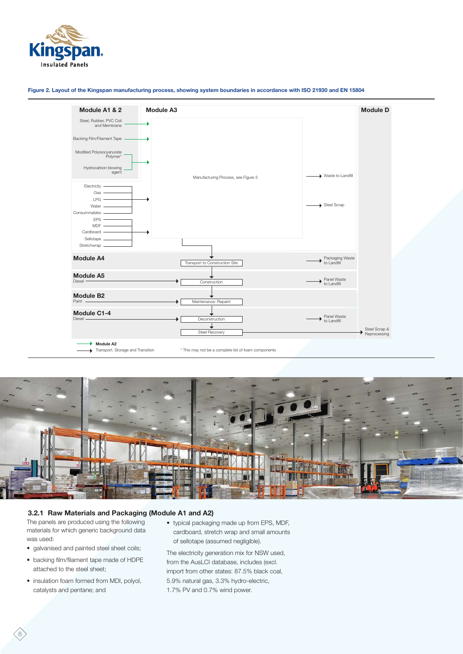

**Figure 2. Layout of the Kingspan manufacturing process, showing system boundaries in accordance with ISO 21930 and EN 15804**





# **3.2.1 Raw Materials and Packaging (Module A1 and A2)**

The panels are produced using the following materials for which generic background data was used:

- galvanised and painted steel sheet coils;
- backing film/filament tape made of HDPE attached to the steel sheet;
- insulation foam formed from MDI, polyol, catalysts and pentane; and

8

• typical packaging made up from EPS, MDF, cardboard, stretch wrap and small amounts of sellotape (assumed negligible).

The electricity generation mix for NSW used, from the AusLCI database, includes (excl. import from other states: 87.5% black coal, 5.9% natural gas, 3.3% hydro-electric, 1.7% PV and 0.7% wind power.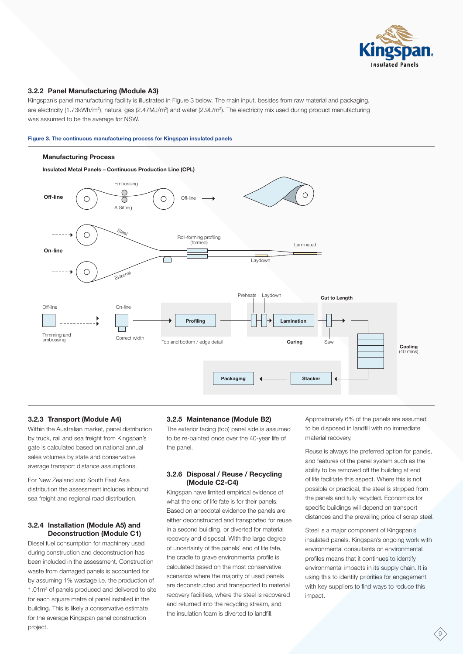

# **3.2.2 Panel Manufacturing (Module A3)**

Kingspan's panel manufacturing facility is illustrated in Figure 3 below. The main input, besides from raw material and packaging, are electricity (1.73kWh/m<sup>2</sup>), natural gas (2.47MJ/m<sup>2</sup>) and water (2.9L/m<sup>2</sup>). The electricity mix used during product manufacturing was assumed to be the average for NSW.

#### **Figure 3. The continuous manufacturing process for Kingspan insulated panels**



# **3.2.3 Transport (Module A4)**

Within the Australian market, panel distribution by truck, rail and sea freight from Kingspan's gate is calculated based on national annual sales volumes by state and conservative average transport distance assumptions.

For New Zealand and South East Asia distribution the assessment includes inbound sea freight and regional road distribution.

# **3.2.4 Installation (Module A5) and Deconstruction (Module C1)**

Diesel fuel consumption for machinery used during construction and deconstruction has been included in the assessment. Construction waste from damaged panels is accounted for by assuming 1% wastage i.e. the production of 1.01m2 of panels produced and delivered to site for each square metre of panel installed in the building. This is likely a conservative estimate for the average Kingspan panel construction project.

# **3.2.5 Maintenance (Module B2)**

The exterior facing (top) panel side is assumed to be re-painted once over the 40-year life of the panel.

# **3.2.6 Disposal / Reuse / Recycling (Module C2-C4)**

Kingspan have limited empirical evidence of what the end of life fate is for their panels. Based on anecdotal evidence the panels are either deconstructed and transported for reuse in a second building, or diverted for material recovery and disposal. With the large degree of uncertainty of the panels' end of life fate, the cradle to grave environmental profile is calculated based on the most conservative scenarios where the majority of used panels are deconstructed and transported to material recovery facilities, where the steel is recovered and returned into the recycling stream, and the insulation foam is diverted to landfill.

Approximately 6% of the panels are assumed to be disposed in landfill with no immediate material recovery.

Reuse is always the preferred option for panels, and features of the panel system such as the ability to be removed off the building at end of life facilitate this aspect. Where this is not possible or practical, the steel is stripped from the panels and fully recycled. Economics for specific buildings will depend on transport distances and the prevailing price of scrap steel.

Steel is a major component of Kingspan's insulated panels. Kingspan's ongoing work with environmental consultants on environmental profiles means that it continues to identify environmental impacts in its supply chain. It is using this to identify priorities for engagement with key suppliers to find ways to reduce this impact.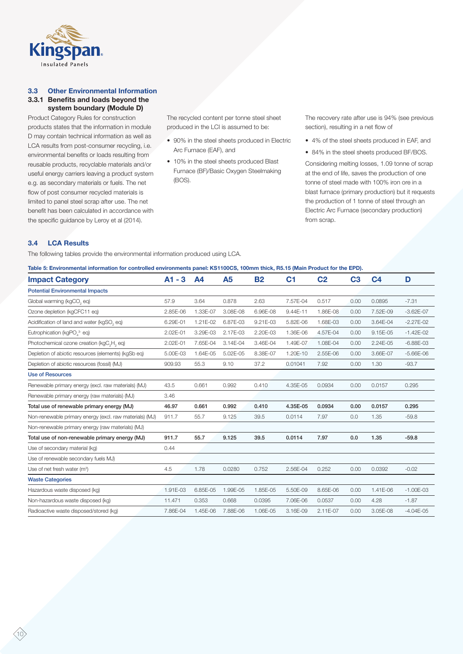

# **3.3 Other Environmental Information 3.3.1 Benefits and loads beyond the system boundary (Module D)**

Product Category Rules for construction products states that the information in module D may contain technical information as well as LCA results from post-consumer recycling, i.e. environmental benefits or loads resulting from reusable products, recyclable materials and/or useful energy carriers leaving a product system e.g. as secondary materials or fuels. The net flow of post consumer recycled materials is limited to panel steel scrap after use. The net benefit has been calculated in accordance with the specific guidance by Leroy et al (2014).

The recycled content per tonne steel sheet produced in the LCI is assumed to be:

- 90% in the steel sheets produced in Electric Arc Furnace (EAF), and
- 10% in the steel sheets produced Blast Furnace (BF)/Basic Oxygen Steelmaking (BOS).

The recovery rate after use is 94% (see previous section), resulting in a net flow of

- 4% of the steel sheets produced in EAF, and
- 84% in the steel sheets produced BF/BOS.

Considering melting losses, 1.09 tonne of scrap at the end of life, saves the production of one tonne of steel made with 100% iron ore in a blast furnace (primary production) but it requests the production of 1 tonne of steel through an Electric Arc Furnace (secondary production) from scrap.

# **3.4 LCA Results**

The following tables provide the environmental information produced using LCA.

| Table 5: Environmental information for controlled environments panel: KS1100CS, 100mm thick, R5.15 (Main Product for the EPD). |  |
|--------------------------------------------------------------------------------------------------------------------------------|--|
|                                                                                                                                |  |

| $A1 - 3$ | A <sub>4</sub> | A5       | <b>B2</b> | C <sub>1</sub> | C <sub>2</sub> | C <sub>3</sub> | C <sub>4</sub> | D             |
|----------|----------------|----------|-----------|----------------|----------------|----------------|----------------|---------------|
|          |                |          |           |                |                |                |                |               |
| 57.9     | 3.64           | 0.878    | 2.63      | 7.57E-04       | 0.517          | 0.00           | 0.0895         | $-7.31$       |
| 2.85E-06 | 1.33E-07       | 3.08E-08 | 6.96E-08  | 9.44E-11       | 1.86E-08       | 0.00           | 7.52E-09       | $-3.62E - 07$ |
| 6.29E-01 | 1.21E-02       | 6.87E-03 | 9.21E-03  | 5.82E-06       | 1.68E-03       | 0.00           | 3.64E-04       | $-2.27E-02$   |
| 2.02E-01 | 3.29E-03       | 2.17E-03 | 2.20E-03  | 1.36E-06       | 4.57E-04       | 0.00           | 9.15E-05       | $-1.42E - 02$ |
| 2.02E-01 | 7.65E-04       | 3.14E-04 | 3.46E-04  | 1.49E-07       | 1.08E-04       | 0.00           | 2.24E-05       | $-6.88E - 03$ |
| 5.00E-03 | 1.64E-05       | 5.02E-05 | 8.38E-07  | 1.20E-10       | 2.55E-06       | 0.00           | 3.66E-07       | $-5.66E - 06$ |
| 909.93   | 55.3           | 9.10     | 37.2      | 0.01041        | 7.92           | 0.00           | 1.30           | $-93.7$       |
|          |                |          |           |                |                |                |                |               |
| 43.5     | 0.661          | 0.992    | 0.410     | 4.35E-05       | 0.0934         | 0.00           | 0.0157         | 0.295         |
| 3.46     |                |          |           |                |                |                |                |               |
| 46.97    | 0.661          | 0.992    | 0.410     | 4.35E-05       | 0.0934         | 0.00           | 0.0157         | 0.295         |
| 911.7    | 55.7           | 9.125    | 39.5      | 0.0114         | 7.97           | 0.0            | 1.35           | $-59.8$       |
|          |                |          |           |                |                |                |                |               |
| 911.7    | 55.7           | 9.125    | 39.5      | 0.0114         | 7.97           | 0.0            | 1.35           | $-59.8$       |
| 0.44     |                |          |           |                |                |                |                |               |
|          |                |          |           |                |                |                |                |               |
| 4.5      | 1.78           | 0.0280   | 0.752     | 2.56E-04       | 0.252          | 0.00           | 0.0392         | $-0.02$       |
|          |                |          |           |                |                |                |                |               |
| 1.91E-03 | 6.85E-05       | 1.99E-05 | 1.85E-05  | 5.50E-09       | 8.65E-06       | 0.00           | 1.41E-06       | $-1.00E-03$   |
| 11.471   | 0.353          | 0.668    | 0.0395    | 7.06E-06       | 0.0537         | 0.00           | 4.28           | $-1.87$       |
| 7.86E-04 | 1.45E-06       | 7.88E-06 | 1.06E-05  | 3.16E-09       | 2.11E-07       | 0.00           | 3.05E-08       | $-4.04E - 05$ |
|          |                |          |           |                |                |                |                |               |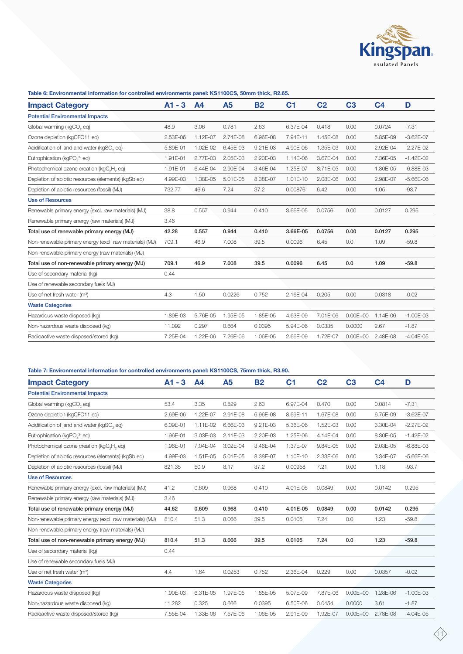

# **Table 6: Environmental information for controlled environments panel: KS1100CS, 50mm thick, R2.65.**

| <b>Impact Category</b>                                  | $A1 - 3$ | A <sub>4</sub> | A <sub>5</sub> | <b>B2</b> | C <sub>1</sub> | C <sub>2</sub> | C <sub>3</sub> | C <sub>4</sub> | D             |
|---------------------------------------------------------|----------|----------------|----------------|-----------|----------------|----------------|----------------|----------------|---------------|
| <b>Potential Environmental Impacts</b>                  |          |                |                |           |                |                |                |                |               |
| Global warming (kgCO, eq)                               | 48.9     | 3.06           | 0.781          | 2.63      | 6.37E-04       | 0.418          | 0.00           | 0.0724         | $-7.31$       |
| Ozone depletion (kgCFC11 eq)                            | 2.53E-06 | 1.12E-07       | 2.74E-08       | 6.96E-08  | 7.94E-11       | 1.45E-08       | 0.00           | 5.85E-09       | $-3.62E - 07$ |
| Acidification of land and water (kgSO, eq)              | 5.89E-01 | 1.02E-02       | 6.45E-03       | 9.21E-03  | 4.90E-06       | 1.35E-03       | 0.00           | 2.92E-04       | $-2.27E-02$   |
| Eutrophication (kgPO, 3- eq)                            | 1.91E-01 | 2.77E-03       | 2.05E-03       | 2.20E-03  | 1.14E-06       | 3.67E-04       | 0.00           | 7.36E-05       | $-1.42E - 02$ |
| Photochemical ozone creation (kgC,H, eq)                | 1.91E-01 | 6.44E-04       | 2.90E-04       | 3.46E-04  | 1.25E-07       | 8.71E-05       | 0.00           | 1.80E-05       | $-6.88E - 03$ |
| Depletion of abiotic resources (elements) (kgSb eq)     | 4.99E-03 | 1.38E-05       | 5.01E-05       | 8.38E-07  | 1.01E-10       | 2.08E-06       | 0.00           | 2.98E-07       | $-5.66E - 06$ |
| Depletion of abiotic resources (fossil) (MJ)            | 732.77   | 46.6           | 7.24           | 37.2      | 0.00876        | 6.42           | 0.00           | 1.05           | $-93.7$       |
| <b>Use of Resources</b>                                 |          |                |                |           |                |                |                |                |               |
| Renewable primary energy (excl. raw materials) (MJ)     | 38.8     | 0.557          | 0.944          | 0.410     | 3.66E-05       | 0.0756         | 0.00           | 0.0127         | 0.295         |
| Renewable primary energy (raw materials) (MJ)           | 3.46     |                |                |           |                |                |                |                |               |
| Total use of renewable primary energy (MJ)              | 42.28    | 0.557          | 0.944          | 0.410     | 3.66E-05       | 0.0756         | 0.00           | 0.0127         | 0.295         |
| Non-renewable primary energy (excl. raw materials) (MJ) | 709.1    | 46.9           | 7.008          | 39.5      | 0.0096         | 6.45           | 0.0            | 1.09           | $-59.8$       |
| Non-renewable primary energy (raw materials) (MJ)       |          |                |                |           |                |                |                |                |               |
| Total use of non-renewable primary energy (MJ)          | 709.1    | 46.9           | 7.008          | 39.5      | 0.0096         | 6.45           | 0.0            | 1.09           | $-59.8$       |
| Use of secondary material (kg)                          | 0.44     |                |                |           |                |                |                |                |               |
| Use of renewable secondary fuels MJ)                    |          |                |                |           |                |                |                |                |               |
| Use of net fresh water (m <sup>3</sup> )                | 4.3      | 1.50           | 0.0226         | 0.752     | 2.16E-04       | 0.205          | 0.00           | 0.0318         | $-0.02$       |
| <b>Waste Categories</b>                                 |          |                |                |           |                |                |                |                |               |
| Hazardous waste disposed (kg)                           | 1.89E-03 | 5.76E-05       | 1.95E-05       | 1.85E-05  | 4.63E-09       | 7.01E-06       | $0.00E + 00$   | 1.14E-06       | $-1.00E-03$   |
| Non-hazardous waste disposed (kg)                       | 11.092   | 0.297          | 0.664          | 0.0395    | 5.94E-06       | 0.0335         | 0.0000         | 2.67           | $-1.87$       |
| Radioactive waste disposed/stored (kg)                  | 7.25E-04 | 1.22E-06       | 7.26E-06       | 1.06E-05  | 2.66E-09       | 1.72E-07       | $0.00E + 00$   | 2.48E-08       | $-4.04E-05$   |

# **Table 7: Environmental information for controlled environments panel: KS1100CS, 75mm thick, R3.90.**

| <b>Impact Category</b>                                  | $A1 - 3$ | A <sub>4</sub> | A5       | <b>B2</b> | C <sub>1</sub> | C <sub>2</sub> | C <sub>3</sub> | C <sub>4</sub> | D             |
|---------------------------------------------------------|----------|----------------|----------|-----------|----------------|----------------|----------------|----------------|---------------|
| <b>Potential Environmental Impacts</b>                  |          |                |          |           |                |                |                |                |               |
| Global warming (kgCO, eq)                               | 53.4     | 3.35           | 0.829    | 2.63      | 6.97E-04       | 0.470          | 0.00           | 0.0814         | $-7.31$       |
| Ozone depletion (kgCFC11 eg)                            | 2.69E-06 | 1.22E-07       | 2.91E-08 | 6.96E-08  | 8.69E-11       | 1.67E-08       | 0.00           | 6.75E-09       | $-3.62E - 07$ |
| Acidification of land and water (kgSO, eq)              | 6.09E-01 | 1.11E-02       | 6.66E-03 | 9.21E-03  | 5.36E-06       | 1.52E-03       | 0.00           | 3.30E-04       | $-2.27E-02$   |
| Eutrophication (kgPO, 3- eq)                            | 1.96E-01 | 3.03E-03       | 2.11E-03 | 2.20E-03  | 1.25E-06       | 4.14E-04       | 0.00           | 8.30E-05       | $-1.42E-02$   |
| Photochemical ozone creation (kgC H, eq)                | 1.96E-01 | 7.04E-04       | 3.02E-04 | 3.46E-04  | 1.37E-07       | 9.84E-05       | 0.00           | 2.03E-05       | $-6.88E - 03$ |
| Depletion of abiotic resources (elements) (kgSb eq)     | 4.99E-03 | 1.51E-05       | 5.01E-05 | 8.38E-07  | 1.10E-10       | 2.33E-06       | 0.00           | 3.34E-07       | $-5.66E - 06$ |
| Depletion of abiotic resources (fossil) (MJ)            | 821.35   | 50.9           | 8.17     | 37.2      | 0.00958        | 7.21           | 0.00           | 1.18           | $-93.7$       |
| <b>Use of Resources</b>                                 |          |                |          |           |                |                |                |                |               |
| Renewable primary energy (excl. raw materials) (MJ)     | 41.2     | 0.609          | 0.968    | 0.410     | 4.01E-05       | 0.0849         | 0.00           | 0.0142         | 0.295         |
| Renewable primary energy (raw materials) (MJ)           | 3.46     |                |          |           |                |                |                |                |               |
| Total use of renewable primary energy (MJ)              | 44.62    | 0.609          | 0.968    | 0.410     | 4.01E-05       | 0.0849         | 0.00           | 0.0142         | 0.295         |
| Non-renewable primary energy (excl. raw materials) (MJ) | 810.4    | 51.3           | 8.066    | 39.5      | 0.0105         | 7.24           | 0.0            | 1.23           | $-59.8$       |
| Non-renewable primary energy (raw materials) (MJ)       |          |                |          |           |                |                |                |                |               |
| Total use of non-renewable primary energy (MJ)          | 810.4    | 51.3           | 8.066    | 39.5      | 0.0105         | 7.24           | 0.0            | 1.23           | $-59.8$       |
| Use of secondary material (kg)                          | 0.44     |                |          |           |                |                |                |                |               |
| Use of renewable secondary fuels MJ)                    |          |                |          |           |                |                |                |                |               |
| Use of net fresh water (m <sup>3</sup> )                | 4.4      | 1.64           | 0.0253   | 0.752     | 2.36E-04       | 0.229          | 0.00           | 0.0357         | $-0.02$       |
| <b>Waste Categories</b>                                 |          |                |          |           |                |                |                |                |               |
| Hazardous waste disposed (kg)                           | 1.90E-03 | 6.31E-05       | 1.97E-05 | 1.85E-05  | 5.07E-09       | 7.87E-06       | $0.00E + 00$   | 1.28E-06       | $-1.00E-03$   |
| Non-hazardous waste disposed (kg)                       | 11.282   | 0.325          | 0.666    | 0.0395    | 6.50E-06       | 0.0454         | 0.0000         | 3.61           | $-1.87$       |
| Radioactive waste disposed/stored (kg)                  | 7.55E-04 | 1.33E-06       | 7.57E-06 | 1.06E-05  | 2.91E-09       | 1.92E-07       | $0.00E + 00$   | 2.78E-08       | $-4.04E-05$   |
|                                                         |          |                |          |           |                |                |                |                |               |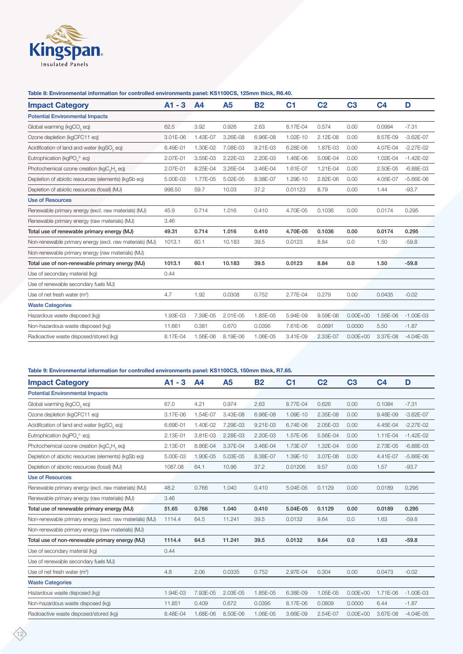

# **Table 8: Environmental information for controlled environments panel: KS1100CS, 125mm thick, R6.40.**

| <b>Impact Category</b>                                            | $A1 - 3$ | A <sub>4</sub> | A5       | <b>B2</b> | C <sub>1</sub> | C <sub>2</sub> | C <sub>3</sub> | C <sub>4</sub> | D             |
|-------------------------------------------------------------------|----------|----------------|----------|-----------|----------------|----------------|----------------|----------------|---------------|
| <b>Potential Environmental Impacts</b>                            |          |                |          |           |                |                |                |                |               |
| Global warming (kgCO, eq)                                         | 62.5     | 3.92           | 0.926    | 2.63      | 8.17E-04       | 0.574          | 0.00           | 0.0994         | $-7.31$       |
| Ozone depletion (kgCFC11 eq)                                      | 3.01E-06 | 1.43E-07       | 3.26E-08 | 6.96E-08  | 1.02E-10       | 2.12E-08       | 0.00           | 8.57E-09       | $-3.62E - 07$ |
| Acidification of land and water (kgSO, eq)                        | 6.49E-01 | 1.30E-02       | 7.08E-03 | 9.21E-03  | 6.28E-06       | 1.87E-03       | 0.00           | 4.07E-04       | $-2.27E-02$   |
| Eutrophication (kgPO <sub>4</sub> <sup>3-</sup> eq)               | 2.07E-01 | 3.55E-03       | 2.22E-03 | 2.20E-03  | 1.46E-06       | 5.09E-04       | 0.00           | 1.02E-04       | $-1.42E - 02$ |
| Photochemical ozone creation (kgC <sub>o</sub> H <sub>o</sub> eq) | 2.07E-01 | 8.25E-04       | 3.26E-04 | 3.46E-04  | 1.61E-07       | 1.21E-04       | 0.00           | 2.50E-05       | $-6.88E - 03$ |
| Depletion of abiotic resources (elements) (kgSb eq)               | 5.00E-03 | 1.77E-05       | 5.02E-05 | 8.38E-07  | 1.29E-10       | 2.82E-06       | 0.00           | 4.05E-07       | $-5.66E - 06$ |
| Depletion of abiotic resources (fossil) (MJ)                      | 998.50   | 59.7           | 10.03    | 37.2      | 0.01123        | 8.79           | 0.00           | 1.44           | $-93.7$       |
| <b>Use of Resources</b>                                           |          |                |          |           |                |                |                |                |               |
| Renewable primary energy (excl. raw materials) (MJ)               | 45.9     | 0.714          | 1.016    | 0.410     | 4.70E-05       | 0.1036         | 0.00           | 0.0174         | 0.295         |
| Renewable primary energy (raw materials) (MJ)                     | 3.46     |                |          |           |                |                |                |                |               |
| Total use of renewable primary energy (MJ)                        | 49.31    | 0.714          | 1.016    | 0.410     | 4.70E-05       | 0.1036         | 0.00           | 0.0174         | 0.295         |
| Non-renewable primary energy (excl. raw materials) (MJ)           | 1013.1   | 60.1           | 10.183   | 39.5      | 0.0123         | 8.84           | 0.0            | 1.50           | $-59.8$       |
| Non-renewable primary energy (raw materials) (MJ)                 |          |                |          |           |                |                |                |                |               |
| Total use of non-renewable primary energy (MJ)                    | 1013.1   | 60.1           | 10.183   | 39.5      | 0.0123         | 8.84           | 0.0            | 1.50           | $-59.8$       |
| Use of secondary material (kg)                                    | 0.44     |                |          |           |                |                |                |                |               |
| Use of renewable secondary fuels MJ)                              |          |                |          |           |                |                |                |                |               |
| Use of net fresh water $(m^3)$                                    | 4.7      | 1.92           | 0.0308   | 0.752     | 2.77E-04       | 0.279          | 0.00           | 0.0435         | $-0.02$       |
| <b>Waste Categories</b>                                           |          |                |          |           |                |                |                |                |               |
| Hazardous waste disposed (kg)                                     | 1.93E-03 | 7.39E-05       | 2.01E-05 | 1.85E-05  | 5.94E-09       | 9.59E-06       | $0.00E + 00$   | 1.56E-06       | $-1.00E-03$   |
| Non-hazardous waste disposed (kg)                                 | 11.661   | 0.381          | 0.670    | 0.0395    | 7.61E-06       | 0.0691         | 0.0000         | 5.50           | $-1.87$       |
| Radioactive waste disposed/stored (kg)                            | 8.17E-04 | 1.56E-06       | 8.19E-06 | 1.06E-05  | 3.41E-09       | 2.33E-07       | $0.00E + 00$   | 3.37E-08       | $-4.04E - 05$ |

# **Table 9: Environmental information for controlled environments panel: KS1100CS, 150mm thick, R7.65.**

| <b>Impact Category</b>                                            | $A1 - 3$ | A4       | <b>A5</b> | <b>B2</b> | C <sub>1</sub> | C <sub>2</sub> | C <sub>3</sub> | C <sub>4</sub> | D             |
|-------------------------------------------------------------------|----------|----------|-----------|-----------|----------------|----------------|----------------|----------------|---------------|
| <b>Potential Environmental Impacts</b>                            |          |          |           |           |                |                |                |                |               |
| Global warming (kgCO, eq)                                         | 67.0     | 4.21     | 0.974     | 2.63      | 8.77E-04       | 0.626          | 0.00           | 0.1084         | $-7.31$       |
| Ozone depletion (kgCFC11 eq)                                      | 3.17E-06 | 1.54E-07 | 3.43E-08  | 6.96E-08  | 1.09E-10       | 2.35E-08       | 0.00           | 9.48E-09       | $-3.62E - 07$ |
| Acidification of land and water (kgSO, eq)                        | 6.69E-01 | 1.40E-02 | 7.29E-03  | 9.21E-03  | 6.74E-06       | 2.05E-03       | 0.00           | 4.45E-04       | $-2.27E-02$   |
| Eutrophication (kgPO, 3- eq)                                      | 2.13E-01 | 3.81E-03 | 2.28E-03  | 2.20E-03  | 1.57E-06       | 5.56E-04       | 0.00           | 1.11E-04       | $-1.42E-02$   |
| Photochemical ozone creation (kgC <sub>2</sub> H <sub>2</sub> eq) | 2.13E-01 | 8.86E-04 | 3.37E-04  | 3.46E-04  | 1.73E-07       | 1.32E-04       | 0.00           | 2.73E-05       | $-6.88E-03$   |
| Depletion of abiotic resources (elements) (kgSb eq)               | 5.00E-03 | 1.90E-05 | 5.03E-05  | 8.38E-07  | 1.39E-10       | 3.07E-06       | 0.00           | 4.41E-07       | $-5.66E - 06$ |
| Depletion of abiotic resources (fossil) (MJ)                      | 1087.08  | 64.1     | 10.96     | 37.2      | 0.01206        | 9.57           | 0.00           | 1.57           | $-93.7$       |
| <b>Use of Resources</b>                                           |          |          |           |           |                |                |                |                |               |
| Renewable primary energy (excl. raw materials) (MJ)               | 48.2     | 0.766    | 1.040     | 0.410     | 5.04E-05       | 0.1129         | 0.00           | 0.0189         | 0.295         |
| Renewable primary energy (raw materials) (MJ)                     | 3.46     |          |           |           |                |                |                |                |               |
| Total use of renewable primary energy (MJ)                        | 51.65    | 0.766    | 1.040     | 0.410     | 5.04E-05       | 0.1129         | 0.00           | 0.0189         | 0.295         |
| Non-renewable primary energy (excl. raw materials) (MJ)           | 1114.4   | 64.5     | 11.241    | 39.5      | 0.0132         | 9.64           | 0.0            | 1.63           | $-59.8$       |
| Non-renewable primary energy (raw materials) (MJ)                 |          |          |           |           |                |                |                |                |               |
| Total use of non-renewable primary energy (MJ)                    | 1114.4   | 64.5     | 11.241    | 39.5      | 0.0132         | 9.64           | 0.0            | 1.63           | $-59.8$       |
| Use of secondary material (kg)                                    | 0.44     |          |           |           |                |                |                |                |               |
| Use of renewable secondary fuels MJ)                              |          |          |           |           |                |                |                |                |               |
| Use of net fresh water (m <sup>3</sup> )                          | 4.8      | 2.06     | 0.0335    | 0.752     | 2.97E-04       | 0.304          | 0.00           | 0.0473         | $-0.02$       |
| <b>Waste Categories</b>                                           |          |          |           |           |                |                |                |                |               |
| Hazardous waste disposed (kg)                                     | 1.94E-03 | 7.93E-05 | 2.03E-05  | 1.85E-05  | 6.38E-09       | 1.05E-05       | $0.00E + 00$   | 1.71E-06       | $-1.00E-03$   |
| Non-hazardous waste disposed (kg)                                 | 11.851   | 0.409    | 0.672     | 0.0395    | 8.17E-06       | 0.0809         | 0.0000         | 6.44           | $-1.87$       |
| Radioactive waste disposed/stored (kg)                            | 8.48E-04 | 1.68E-06 | 8.50E-06  | 1.06E-05  | 3.66E-09       | 2.54E-07       | $0.00E + 00$   | 3.67E-08       | $-4.04E - 05$ |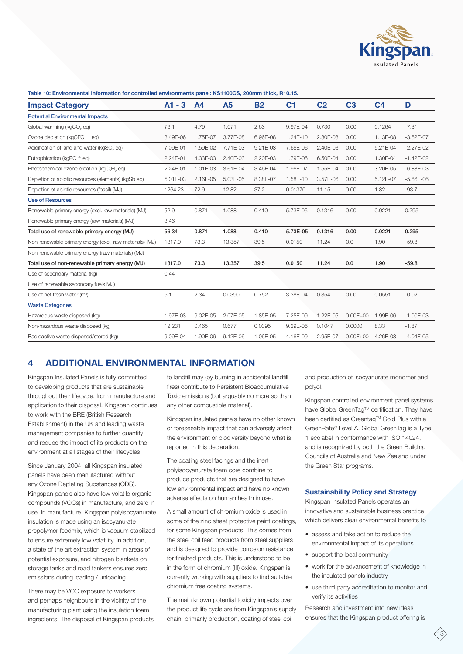

#### **Table 10: Environmental information for controlled environments panel: KS1100CS, 200mm thick, R10.15.**

| <b>Impact Category</b>                                  | $A1 - 3$ | A <sub>4</sub> | A5       | <b>B2</b> | C <sub>1</sub> | C <sub>2</sub> | C <sub>3</sub> | C <sub>4</sub> | D             |
|---------------------------------------------------------|----------|----------------|----------|-----------|----------------|----------------|----------------|----------------|---------------|
| <b>Potential Environmental Impacts</b>                  |          |                |          |           |                |                |                |                |               |
| Global warming (kgCO, eq)                               | 76.1     | 4.79           | 1.071    | 2.63      | 9.97E-04       | 0.730          | 0.00           | 0.1264         | $-7.31$       |
| Ozone depletion (kgCFC11 eq)                            | 3.49E-06 | 1.75E-07       | 3.77E-08 | 6.96E-08  | 1.24E-10       | 2.80E-08       | 0.00           | 1.13E-08       | $-3.62E - 07$ |
| Acidification of land and water (kgSO, eq)              | 7.09E-01 | 1.59E-02       | 7.71E-03 | 9.21E-03  | 7.66E-06       | 2.40E-03       | 0.00           | 5.21E-04       | $-2.27E-02$   |
| Eutrophication (kgPO <sub>4</sub> <sup>3-</sup> eq)     | 2.24E-01 | 4.33E-03       | 2.40E-03 | 2.20E-03  | 1.79E-06       | 6.50E-04       | 0.00           | 1.30E-04       | $-1.42E - 02$ |
| Photochemical ozone creation (kgC,H, eq)                | 2.24E-01 | 1.01E-03       | 3.61E-04 | 3.46E-04  | 1.96E-07       | 1.55E-04       | 0.00           | 3.20E-05       | $-6.88E - 03$ |
| Depletion of abiotic resources (elements) (kgSb eq)     | 5.01E-03 | 2.16E-05       | 5.03E-05 | 8.38E-07  | 1.58E-10       | 3.57E-06       | 0.00           | 5.12E-07       | $-5.66E - 06$ |
| Depletion of abiotic resources (fossil) (MJ)            | 1264.23  | 72.9           | 12.82    | 37.2      | 0.01370        | 11.15          | 0.00           | 1.82           | $-93.7$       |
| <b>Use of Resources</b>                                 |          |                |          |           |                |                |                |                |               |
| Renewable primary energy (excl. raw materials) (MJ)     | 52.9     | 0.871          | 1.088    | 0.410     | 5.73E-05       | 0.1316         | 0.00           | 0.0221         | 0.295         |
| Renewable primary energy (raw materials) (MJ)           | 3.46     |                |          |           |                |                |                |                |               |
| Total use of renewable primary energy (MJ)              | 56.34    | 0.871          | 1.088    | 0.410     | 5.73E-05       | 0.1316         | 0.00           | 0.0221         | 0.295         |
| Non-renewable primary energy (excl. raw materials) (MJ) | 1317.0   | 73.3           | 13.357   | 39.5      | 0.0150         | 11.24          | 0.0            | 1.90           | $-59.8$       |
| Non-renewable primary energy (raw materials) (MJ)       |          |                |          |           |                |                |                |                |               |
| Total use of non-renewable primary energy (MJ)          | 1317.0   | 73.3           | 13.357   | 39.5      | 0.0150         | 11.24          | 0.0            | 1.90           | $-59.8$       |
| Use of secondary material (kg)                          | 0.44     |                |          |           |                |                |                |                |               |
| Use of renewable secondary fuels MJ)                    |          |                |          |           |                |                |                |                |               |
| Use of net fresh water (m <sup>3</sup> )                | 5.1      | 2.34           | 0.0390   | 0.752     | 3.38E-04       | 0.354          | 0.00           | 0.0551         | $-0.02$       |
| <b>Waste Categories</b>                                 |          |                |          |           |                |                |                |                |               |
| Hazardous waste disposed (kg)                           | 1.97E-03 | 9.02E-05       | 2.07E-05 | 1.85E-05  | 7.25E-09       | 1.22E-05       | $0.00E + 00$   | 1.99E-06       | $-1.00E-03$   |
| Non-hazardous waste disposed (kg)                       | 12.231   | 0.465          | 0.677    | 0.0395    | 9.29E-06       | 0.1047         | 0.0000         | 8.33           | $-1.87$       |
| Radioactive waste disposed/stored (kg)                  | 9.09E-04 | 1.90E-06       | 9.12E-06 | 1.06E-05  | 4.16E-09       | 2.95E-07       | $0.00E + 00$   | 4.26E-08       | $-4.04E-05$   |

# **4 ADDITIONAL ENVIRONMENTAL INFORMATION**

Kingspan Insulated Panels is fully committed to developing products that are sustainable throughout their lifecycle, from manufacture and application to their disposal. Kingspan continues to work with the BRE (British Research Establishment) in the UK and leading waste management companies to further quantify and reduce the impact of its products on the environment at all stages of their lifecycles.

Since January 2004, all Kingspan insulated panels have been manufactured without any Ozone Depleting Substances (ODS). Kingspan panels also have low volatile organic compounds (VOCs) in manufacture, and zero in use. In manufacture, Kingspan polyisocyanurate insulation is made using an isocyanurate prepolymer feedmix, which is vacuum stabilized to ensure extremely low volatility. In addition, a state of the art extraction system in areas of potential exposure, and nitrogen blankets on storage tanks and road tankers ensures zero emissions during loading / unloading.

There may be VOC exposure to workers and perhaps neighbours in the vicinity of the manufacturing plant using the insulation foam ingredients. The disposal of Kingspan products to landfill may (by burning in accidental landfill fires) contribute to Persistent Bioaccumulative Toxic emissions (but arguably no more so than any other combustible material).

Kingspan insulated panels have no other known or foreseeable impact that can adversely affect the environment or biodiversity beyond what is reported in this declaration.

The coating steel facings and the inert polyisocyanurate foam core combine to produce products that are designed to have low environmental impact and have no known adverse effects on human health in use.

A small amount of chromium oxide is used in some of the zinc sheet protective paint coatings, for some Kingspan products. This comes from the steel coil feed products from steel suppliers and is designed to provide corrosion resistance for finished products. This is understood to be in the form of chromium (III) oxide. Kingspan is currently working with suppliers to find suitable chromium free coating systems.

The main known potential toxicity impacts over the product life cycle are from Kingspan's supply chain, primarily production, coating of steel coil

and production of isocyanurate monomer and polyol.

Kingspan controlled environment panel systems have Global GreenTag™ certification. They have been certified as Greentag™ Gold Plus with a GreenRate® Level A. Global GreenTag is a Type 1 ecolabel in conformance with ISO 14024, and is recognized by both the Green Building Councils of Australia and New Zealand under the Green Star programs.

# **Sustainability Policy and Strategy**

Kingspan Insulated Panels operates an innovative and sustainable business practice which delivers clear environmental benefits to

- assess and take action to reduce the environmental impact of its operations
- support the local community
- work for the advancement of knowledge in the insulated panels industry
- use third party accreditation to monitor and verify its activities

Research and investment into new ideas ensures that the Kingspan product offering is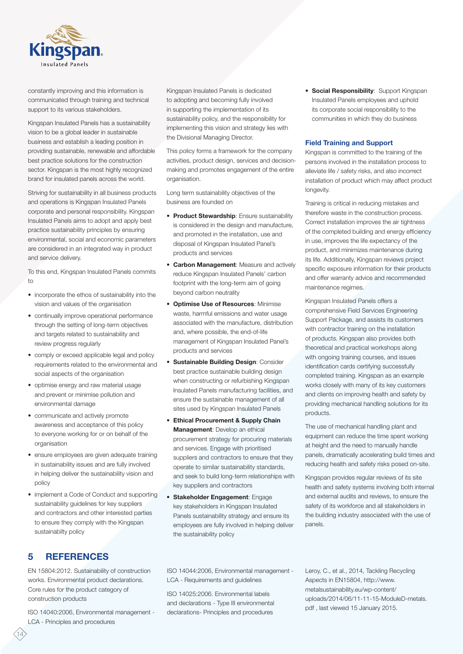

constantly improving and this information is communicated through training and technical support to its various stakeholders.

Kingspan Insulated Panels has a sustainability vision to be a global leader in sustainable business and establish a leading position in providing sustainable, renewable and affordable best practice solutions for the construction sector. Kingspan is the most highly recognized brand for insulated panels across the world.

Striving for sustainability in all business products and operations is Kingspan Insulated Panels corporate and personal responsibility. Kingspan Insulated Panels aims to adopt and apply best practice sustainability principles by ensuring environmental, social and economic parameters are considered in an integrated way in product and service delivery.

To this end, Kingspan Insulated Panels commits to

- incorporate the ethos of sustainability into the vision and values of the organisation
- continually improve operational performance through the setting of long-term objectives and targets related to sustainability and review progress regularly
- comply or exceed applicable legal and policy requirements related to the environmental and social aspects of the organisation
- optimise energy and raw material usage and prevent or minimise pollution and environmental damage
- communicate and actively promote awareness and acceptance of this policy to everyone working for or on behalf of the organisation
- ensure employees are given adequate training in sustainability issues and are fully involved in helping deliver the sustainability vision and policy
- implement a Code of Conduct and supporting sustainability guidelines for key suppliers and contractors and other interested parties to ensure they comply with the Kingspan sustainabilty policy

**5 REFERENCES**

EN 15804:2012. Sustainability of construction works. Environmental product declarations. Core rules for the product category of construction products

ISO 14040:2006, Environmental management - LCA - Principles and procedures

Kingspan Insulated Panels is dedicated to adopting and becoming fully involved in supporting the implementation of its sustainability policy, and the responsibility for implementing this vision and strategy lies with the Divisional Managing Director.

This policy forms a framework for the company activities, product design, services and decisionmaking and promotes engagement of the entire organisation.

Long term sustainability objectives of the business are founded on

- **Product Stewardship**: Ensure sustainability is considered in the design and manufacture, and promoted in the installation, use and disposal of Kingspan Insulated Panel's products and services
- **Carbon Management**: Measure and actively reduce Kingspan Insulated Panels' carbon footprint with the long-term aim of going beyond carbon neutrality
- **Optimise Use of Resources**: Minimise waste, harmful emissions and water usage associated with the manufacture, distribution and, where possible, the end-of-life management of Kingspan Insulated Panel's products and services
- **Sustainable Building Design**: Consider best practice sustainable building design when constructing or refurbishing Kingspan Insulated Panels manufacturing facilities, and ensure the sustainable management of all sites used by Kingspan Insulated Panels
- **Ethical Procurement & Supply Chain Management**: Develop an ethical procurement strategy for procuring materials and services. Engage with prioritised suppliers and contractors to ensure that they operate to similar sustainability standards, and seek to build long-term relationships with key suppliers and contractors
- **Stakeholder Engagement**: Engage key stakeholders in Kingspan Insulated Panels sustainability strategy and ensure its employees are fully involved in helping deliver the sustainability policy

• **Social Responsibility**: Support Kingspan Insulated Panels employees and uphold its corporate social responsibility to the communities in which they do business

# **Field Training and Support**

Kingspan is committed to the training of the persons involved in the installation process to alleviate life / safety risks, and also incorrect installation of product which may affect product longevity.

Training is critical in reducing mistakes and therefore waste in the construction process. Correct installation improves the air tightness of the completed building and energy efficiency in use, improves the life expectancy of the product, and minimizes maintenance during its life. Additionally, Kingspan reviews project specific exposure information for their products and offer warranty advice and recommended maintenance regimes.

Kingspan Insulated Panels offers a comprehensive Field Services Engineering Support Package, and assists its customers with contractor training on the installation of products. Kingspan also provides both theoretical and practical workshops along with ongoing training courses, and issues identification cards certifying successfully completed training. Kingspan as an example works closely with many of its key customers and clients on improving health and safety by providing mechanical handling solutions for its products.

The use of mechanical handling plant and equipment can reduce the time spent working at height and the need to manually handle panels, dramatically accelerating build times and reducing health and safety risks posed on-site.

Kingspan provides regular reviews of its site health and safety systems involving both internal and external audits and reviews, to ensure the safety of its workforce and all stakeholders in the building industry associated with the use of panels.

ISO 14044:2006, Environmental management - LCA - Requirements and guidelines

ISO 14025:2006. Environmental labels and declarations - Type III environmental declarations- Principles and procedures

Leroy, C., et al., 2014, Tackling Recycling Aspects in EN15804, http://www. metalsustainability.eu/wp-content/ uploads/2014/06/11-11-15-ModuleD-metals. pdf , last viewed 15 January 2015.